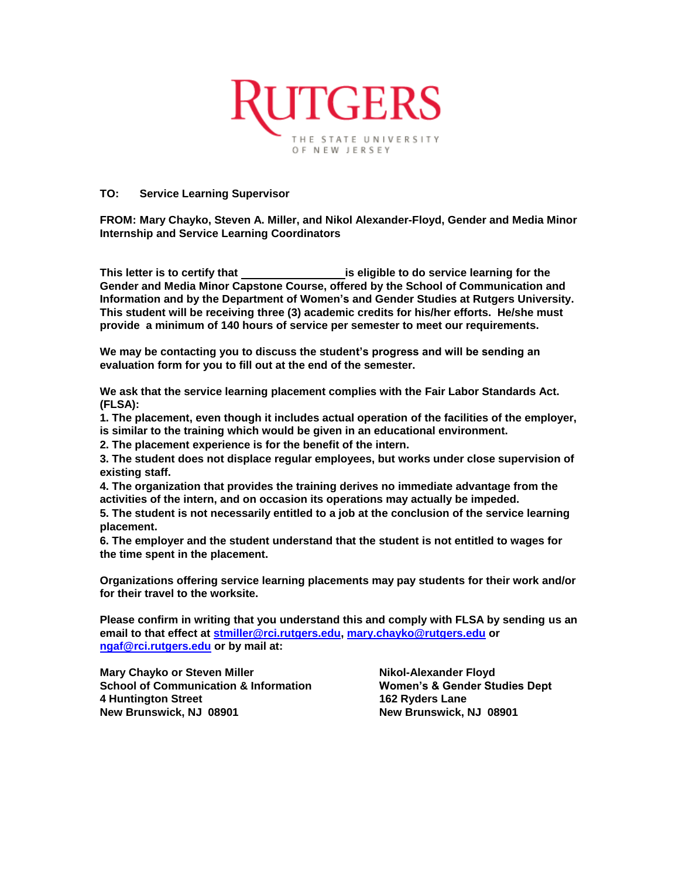

## **TO: Service Learning Supervisor**

**FROM: Mary Chayko, Steven A. Miller, and Nikol Alexander-Floyd, Gender and Media Minor Internship and Service Learning Coordinators**

**This letter is to certify that is eligible to do service learning for the Gender and Media Minor Capstone Course, offered by the School of Communication and Information and by the Department of Women's and Gender Studies at Rutgers University. This student will be receiving three (3) academic credits for his/her efforts. He/she must provide a minimum of 140 hours of service per semester to meet our requirements.**

**We may be contacting you to discuss the student's progress and will be sending an evaluation form for you to fill out at the end of the semester.**

**We ask that the service learning placement complies with the Fair Labor Standards Act. (FLSA):**

**1. The placement, even though it includes actual operation of the facilities of the employer, is similar to the training which would be given in an educational environment.** 

**2. The placement experience is for the benefit of the intern.** 

**3. The student does not displace regular employees, but works under close supervision of existing staff.** 

**4. The organization that provides the training derives no immediate advantage from the activities of the intern, and on occasion its operations may actually be impeded.** 

**5. The student is not necessarily entitled to a job at the conclusion of the service learning placement.** 

**6. The employer and the student understand that the student is not entitled to wages for the time spent in the placement.** 

**Organizations offering service learning placements may pay students for their work and/or for their travel to the worksite.**

**Please confirm in writing that you understand this and comply with FLSA by sending us an email to that effect at [stmiller@rci.rutgers.edu,](mailto:stmiller@rci.rutgers.edu) [mary.chayko@rutgers.edu](mailto:mary.chayko@rutgers.edu) or [ngaf@rci.rutgers.edu](mailto:ngaf@rci.rutgers.edu) or by mail at:** 

**Mary Chayko or Steven Miller**  Nikol-Alexander Floyd **School of Communication & Information Women's & Gender Studies Dept 4 Huntington Street 162 Ryders Lane New Brunswick, NJ 08901 New Brunswick, NJ 08901**